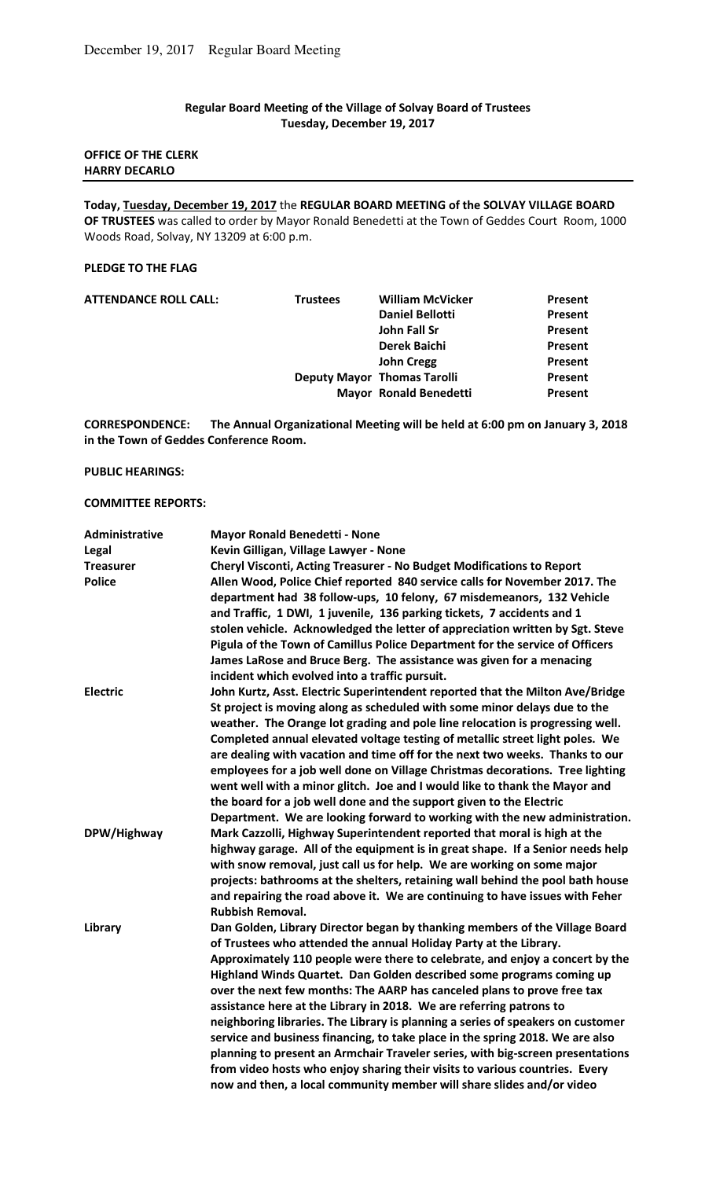# **Regular Board Meeting of the Village of Solvay Board of Trustees Tuesday, December 19, 2017**

## **OFFICE OF THE CLERK HARRY DECARLO**

**Today, Tuesday, December 19, 2017** the **REGULAR BOARD MEETING of the SOLVAY VILLAGE BOARD OF TRUSTEES** was called to order by Mayor Ronald Benedetti at the Town of Geddes Court Room, 1000 Woods Road, Solvay, NY 13209 at 6:00 p.m.

## **PLEDGE TO THE FLAG**

| <b>ATTENDANCE ROLL CALL:</b> | <b>Trustees</b> | <b>William McVicker</b>            | Present |
|------------------------------|-----------------|------------------------------------|---------|
|                              |                 | <b>Daniel Bellotti</b>             | Present |
|                              |                 | John Fall Sr                       | Present |
|                              |                 | Derek Baichi                       | Present |
|                              |                 | <b>John Cregg</b>                  | Present |
|                              |                 | <b>Deputy Mayor Thomas Tarolli</b> | Present |
|                              |                 | <b>Mayor Ronald Benedetti</b>      | Present |
|                              |                 |                                    |         |

**CORRESPONDENCE: The Annual Organizational Meeting will be held at 6:00 pm on January 3, 2018 in the Town of Geddes Conference Room.** 

### **PUBLIC HEARINGS:**

## **COMMITTEE REPORTS:**

| Administrative   | <b>Mayor Ronald Benedetti - None</b>                                                                                                                          |
|------------------|---------------------------------------------------------------------------------------------------------------------------------------------------------------|
| Legal            | Kevin Gilligan, Village Lawyer - None                                                                                                                         |
| <b>Treasurer</b> | Cheryl Visconti, Acting Treasurer - No Budget Modifications to Report                                                                                         |
| <b>Police</b>    | Allen Wood, Police Chief reported 840 service calls for November 2017. The                                                                                    |
|                  | department had 38 follow-ups, 10 felony, 67 misdemeanors, 132 Vehicle                                                                                         |
|                  | and Traffic, 1 DWI, 1 juvenile, 136 parking tickets, 7 accidents and 1                                                                                        |
|                  | stolen vehicle. Acknowledged the letter of appreciation written by Sgt. Steve<br>Pigula of the Town of Camillus Police Department for the service of Officers |
|                  | James LaRose and Bruce Berg. The assistance was given for a menacing                                                                                          |
|                  | incident which evolved into a traffic pursuit.                                                                                                                |
| <b>Electric</b>  | John Kurtz, Asst. Electric Superintendent reported that the Milton Ave/Bridge                                                                                 |
|                  | St project is moving along as scheduled with some minor delays due to the                                                                                     |
|                  | weather. The Orange lot grading and pole line relocation is progressing well.                                                                                 |
|                  | Completed annual elevated voltage testing of metallic street light poles. We                                                                                  |
|                  | are dealing with vacation and time off for the next two weeks. Thanks to our                                                                                  |
|                  | employees for a job well done on Village Christmas decorations. Tree lighting                                                                                 |
|                  | went well with a minor glitch. Joe and I would like to thank the Mayor and                                                                                    |
|                  | the board for a job well done and the support given to the Electric                                                                                           |
| DPW/Highway      | Department. We are looking forward to working with the new administration.<br>Mark Cazzolli, Highway Superintendent reported that moral is high at the        |
|                  | highway garage. All of the equipment is in great shape. If a Senior needs help                                                                                |
|                  | with snow removal, just call us for help. We are working on some major                                                                                        |
|                  | projects: bathrooms at the shelters, retaining wall behind the pool bath house                                                                                |
|                  | and repairing the road above it. We are continuing to have issues with Feher                                                                                  |
|                  | <b>Rubbish Removal.</b>                                                                                                                                       |
| Library          | Dan Golden, Library Director began by thanking members of the Village Board                                                                                   |
|                  | of Trustees who attended the annual Holiday Party at the Library.                                                                                             |
|                  | Approximately 110 people were there to celebrate, and enjoy a concert by the                                                                                  |
|                  | Highland Winds Quartet. Dan Golden described some programs coming up                                                                                          |
|                  | over the next few months: The AARP has canceled plans to prove free tax                                                                                       |
|                  | assistance here at the Library in 2018. We are referring patrons to                                                                                           |
|                  | neighboring libraries. The Library is planning a series of speakers on customer                                                                               |
|                  | service and business financing, to take place in the spring 2018. We are also                                                                                 |
|                  | planning to present an Armchair Traveler series, with big-screen presentations                                                                                |
|                  | from video hosts who enjoy sharing their visits to various countries. Every                                                                                   |
|                  | now and then, a local community member will share slides and/or video                                                                                         |
|                  |                                                                                                                                                               |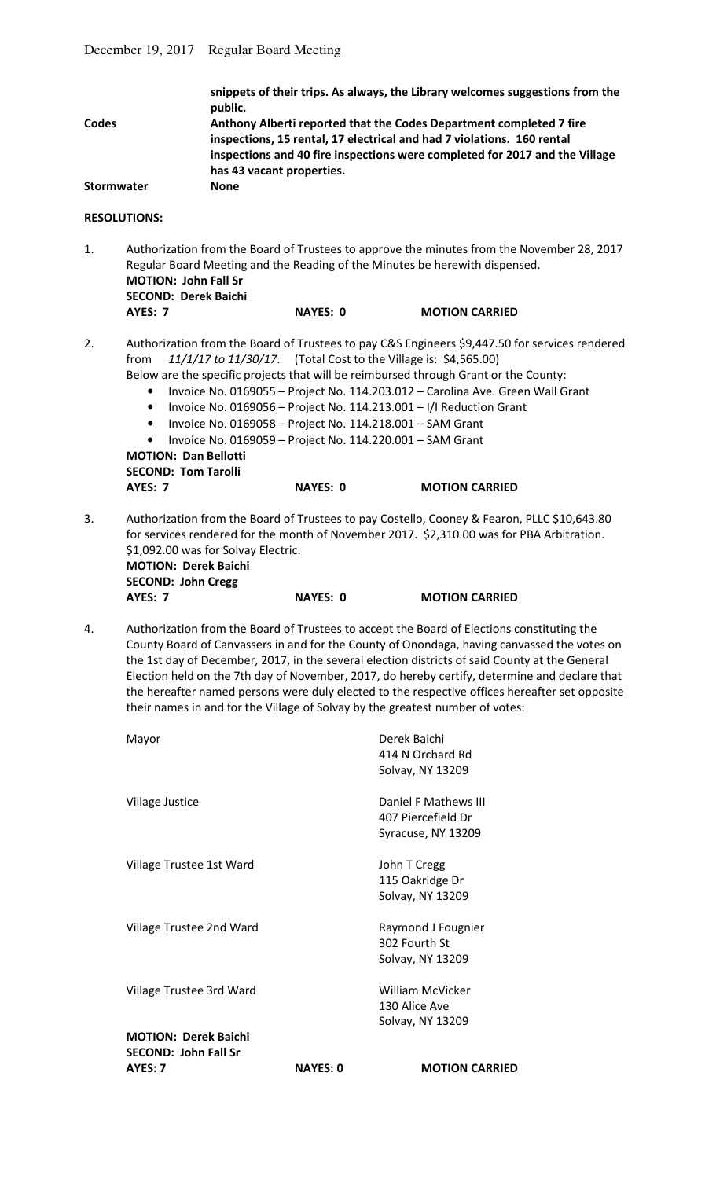| snippets of their trips. As always, the Library welcomes suggestions from the<br>public. |
|------------------------------------------------------------------------------------------|
| Anthony Alberti reported that the Codes Department completed 7 fire                      |
| inspections, 15 rental, 17 electrical and had 7 violations. 160 rental                   |
| inspections and 40 fire inspections were completed for 2017 and the Village              |
| has 43 vacant properties.                                                                |
| <b>None</b>                                                                              |
|                                                                                          |

## **RESOLUTIONS:**

1. Authorization from the Board of Trustees to approve the minutes from the November 28, 2017 Regular Board Meeting and the Reading of the Minutes be herewith dispensed.  **MOTION: John Fall Sr SECOND: Derek Baichi** 

- **AYES: 7 NAYES: 0 MOTION CARRIED**
- 2. Authorization from the Board of Trustees to pay C&S Engineers \$9,447.50 for services rendered from *11/1/17 to 11/30/17*. (Total Cost to the Village is: \$4,565.00)
	- Below are the specific projects that will be reimbursed through Grant or the County:
		- Invoice No. 0169055 Project No. 114.203.012 Carolina Ave. Green Wall Grant
		- Invoice No. 0169056 Project No. 114.213.001 I/I Reduction Grant
		- Invoice No. 0169058 Project No. 114.218.001 SAM Grant
		- Invoice No. 0169059 Project No. 114.220.001 SAM Grant

**MOTION: Dan Bellotti SECOND: Tom Tarolli AYES: 7** NAYES: 0 MOTION CARRIED

3. Authorization from the Board of Trustees to pay Costello, Cooney & Fearon, PLLC \$10,643.80 for services rendered for the month of November 2017. \$2,310.00 was for PBA Arbitration. \$1,092.00 was for Solvay Electric.

 **MOTION: Derek Baichi SECOND: John Cregg AYES: 7** NAYES: 0 MOTION CARRIED

4. Authorization from the Board of Trustees to accept the Board of Elections constituting the County Board of Canvassers in and for the County of Onondaga, having canvassed the votes on the 1st day of December, 2017, in the several election districts of said County at the General Election held on the 7th day of November, 2017, do hereby certify, determine and declare that the hereafter named persons were duly elected to the respective offices hereafter set opposite their names in and for the Village of Solvay by the greatest number of votes:

| <b>SECOND: John Fall Sr</b><br>AYES: 7 | <b>NAYES: 0</b> | <b>MOTION CARRIED</b> |
|----------------------------------------|-----------------|-----------------------|
| <b>MOTION: Derek Baichi</b>            |                 | Solvay, NY 13209      |
|                                        |                 | 130 Alice Ave         |
| Village Trustee 3rd Ward               |                 | William McVicker      |
|                                        |                 | Solvay, NY 13209      |
|                                        |                 | 302 Fourth St         |
| Village Trustee 2nd Ward               |                 | Raymond J Fougnier    |
|                                        |                 | Solvay, NY 13209      |
|                                        |                 | 115 Oakridge Dr       |
| Village Trustee 1st Ward               |                 | John T Cregg          |
|                                        |                 | Syracuse, NY 13209    |
|                                        |                 | 407 Piercefield Dr    |
| Village Justice                        |                 | Daniel F Mathews III  |
|                                        |                 | Solvay, NY 13209      |
|                                        |                 | 414 N Orchard Rd      |
| Mayor                                  |                 | Derek Baichi          |